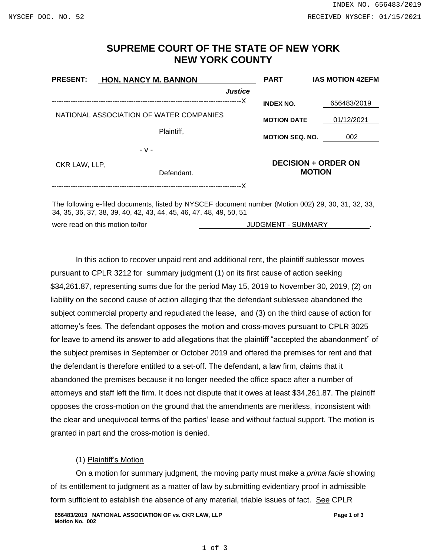## **SUPREME COURT OF THE STATE OF NEW YORK NEW YORK COUNTY**

| <b>PRESENT:</b>                         | <b>HON. NANCY M. BANNON</b>                                                                                                                              | <b>PART</b>                                 | <b>IAS MOTION 42EFM</b> |
|-----------------------------------------|----------------------------------------------------------------------------------------------------------------------------------------------------------|---------------------------------------------|-------------------------|
|                                         | <b>Justice</b>                                                                                                                                           |                                             |                         |
|                                         |                                                                                                                                                          | <b>INDEX NO.</b>                            | 656483/2019             |
| NATIONAL ASSOCIATION OF WATER COMPANIES |                                                                                                                                                          | <b>MOTION DATE</b>                          | 01/12/2021              |
|                                         | Plaintiff,                                                                                                                                               | <b>MOTION SEQ. NO.</b>                      | 002                     |
|                                         | - v -                                                                                                                                                    |                                             |                         |
| CKR LAW, LLP,                           | Defendant.                                                                                                                                               | <b>DECISION + ORDER ON</b><br><b>MOTION</b> |                         |
|                                         | The following e-filed documents, listed by NYSCEF document number (Motion 002) 29, 30, 31, 32, 33,<br>24 25 26 27 28 20 40 42 42 44 45 46 47 48 40 50 54 |                                             |                         |

34, 35, 36, 37, 38, 39, 40, 42, 43, 44, 45, 46, 47, 48, 49, 50, 51 were read on this motion to/for **All and the SUMMARY JUDGMENT - SUMMARY** 

In this action to recover unpaid rent and additional rent, the plaintiff sublessor moves pursuant to CPLR 3212 for summary judgment (1) on its first cause of action seeking \$34,261.87, representing sums due for the period May 15, 2019 to November 30, 2019, (2) on liability on the second cause of action alleging that the defendant sublessee abandoned the subject commercial property and repudiated the lease, and (3) on the third cause of action for attorney's fees. The defendant opposes the motion and cross-moves pursuant to CPLR 3025 for leave to amend its answer to add allegations that the plaintiff "accepted the abandonment" of the subject premises in September or October 2019 and offered the premises for rent and that the defendant is therefore entitled to a set-off. The defendant, a law firm, claims that it abandoned the premises because it no longer needed the office space after a number of attorneys and staff left the firm. It does not dispute that it owes at least \$34,261.87. The plaintiff opposes the cross-motion on the ground that the amendments are meritless, inconsistent with the clear and unequivocal terms of the parties' lease and without factual support. The motion is granted in part and the cross-motion is denied.

## (1) Plaintiff's Motion

On a motion for summary judgment, the moving party must make a *prima facie* showing of its entitlement to judgment as a matter of law by submitting evidentiary proof in admissible form sufficient to establish the absence of any material, triable issues of fact. See CPLR

**656483/2019 NATIONAL ASSOCIATION OF vs. CKR LAW, LLP Motion No. 002**

**Page 1 of 3**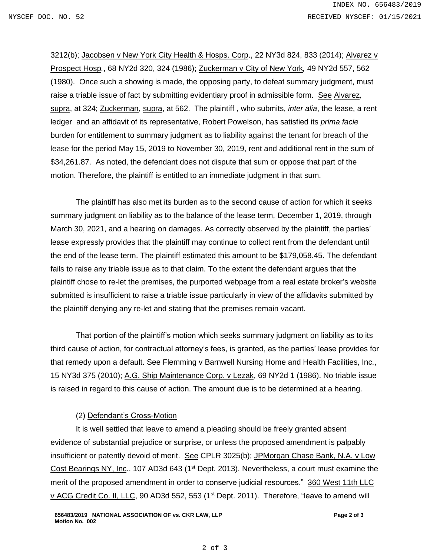3212(b); Jacobsen v New York City Health & Hosps. Corp., 22 NY3d 824, 833 (2014); Alvarez v Prospect Hosp*.*, 68 NY2d 320, 324 (1986); Zuckerman v City of New York*,* 49 NY2d 557, 562 (1980). Once such a showing is made, the opposing party, to defeat summary judgment, must raise a triable issue of fact by submitting evidentiary proof in admissible form. See Alvarez*,*  supra, at 324; Zuckerman*,* supra, at 562. The plaintiff , who submits, *inter alia*, the lease, a rent ledger and an affidavit of its representative, Robert Powelson, has satisfied its *prima facie* burden for entitlement to summary judgment as to liability against the tenant for breach of the lease for the period May 15, 2019 to November 30, 2019, rent and additional rent in the sum of \$34,261.87. As noted, the defendant does not dispute that sum or oppose that part of the motion. Therefore, the plaintiff is entitled to an immediate judgment in that sum.

The plaintiff has also met its burden as to the second cause of action for which it seeks summary judgment on liability as to the balance of the lease term, December 1, 2019, through March 30, 2021, and a hearing on damages. As correctly observed by the plaintiff, the parties' lease expressly provides that the plaintiff may continue to collect rent from the defendant until the end of the lease term. The plaintiff estimated this amount to be \$179,058.45. The defendant fails to raise any triable issue as to that claim. To the extent the defendant argues that the plaintiff chose to re-let the premises, the purported webpage from a real estate broker's website submitted is insufficient to raise a triable issue particularly in view of the affidavits submitted by the plaintiff denying any re-let and stating that the premises remain vacant.

That portion of the plaintiff's motion which seeks summary judgment on liability as to its third cause of action, for contractual attorney's fees, is granted, as the parties' lease provides for that remedy upon a default. See Flemming v Barnwell Nursing Home and Health Facilities, Inc., 15 NY3d 375 (2010); A.G. Ship Maintenance Corp. v Lezak, 69 NY2d 1 (1986). No triable issue is raised in regard to this cause of action. The amount due is to be determined at a hearing.

## (2) Defendant's Cross-Motion

It is well settled that leave to amend a pleading should be freely granted absent evidence of substantial prejudice or surprise, or unless the proposed amendment is palpably insufficient or patently devoid of merit. See CPLR 3025(b); JPMorgan Chase Bank, N.A. v Low Cost Bearings NY, Inc., 107 AD3d 643 (1<sup>st</sup> Dept. 2013). Nevertheless, a court must examine the merit of the proposed amendment in order to conserve judicial resources." 360 West 11th LLC v ACG Credit Co. II, LLC, 90 AD3d 552, 553 (1<sup>st</sup> Dept. 2011). Therefore, "leave to amend will

**Page 2 of 3**